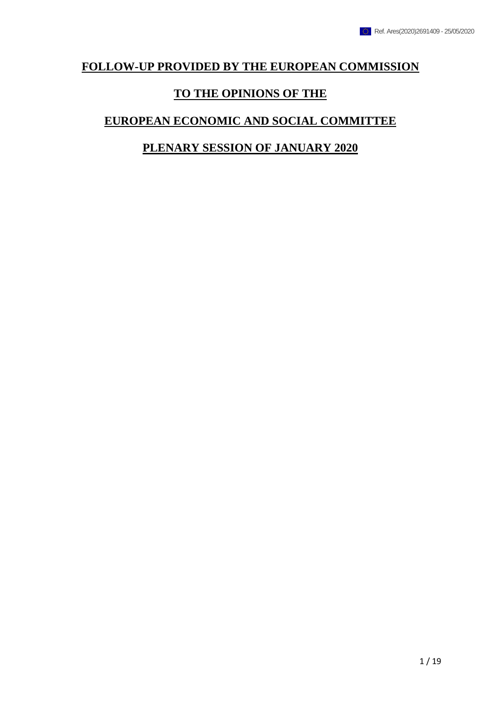## **FOLLOW-UP PROVIDED BY THE EUROPEAN COMMISSION**

## **TO THE OPINIONS OF THE**

## **EUROPEAN ECONOMIC AND SOCIAL COMMITTEE**

## **PLENARY SESSION OF JANUARY 2020**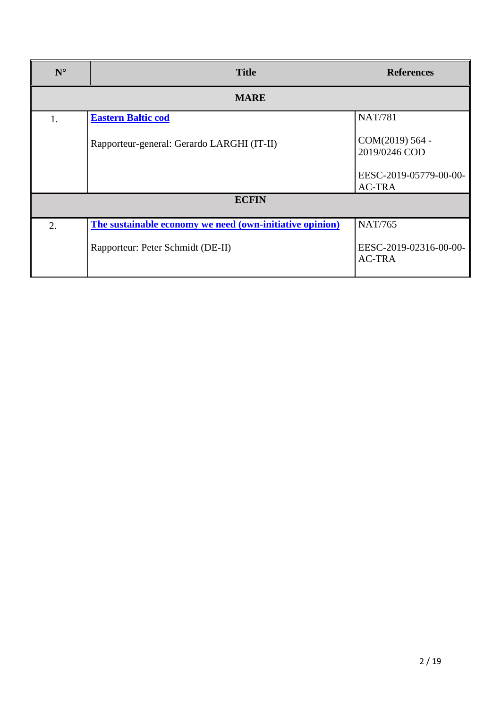| $N^{\circ}$  | <b>Title</b>                                             | <b>References</b>                       |
|--------------|----------------------------------------------------------|-----------------------------------------|
| <b>MARE</b>  |                                                          |                                         |
| 1.           | <b>Eastern Baltic cod</b>                                | <b>NAT/781</b>                          |
|              | Rapporteur-general: Gerardo LARGHI (IT-II)               | COM(2019) 564 -<br>2019/0246 COD        |
|              |                                                          | EESC-2019-05779-00-00-<br><b>AC-TRA</b> |
| <b>ECFIN</b> |                                                          |                                         |
| 2.           | The sustainable economy we need (own-initiative opinion) | <b>NAT/765</b>                          |
|              | Rapporteur: Peter Schmidt (DE-II)                        | EESC-2019-02316-00-00-<br><b>AC-TRA</b> |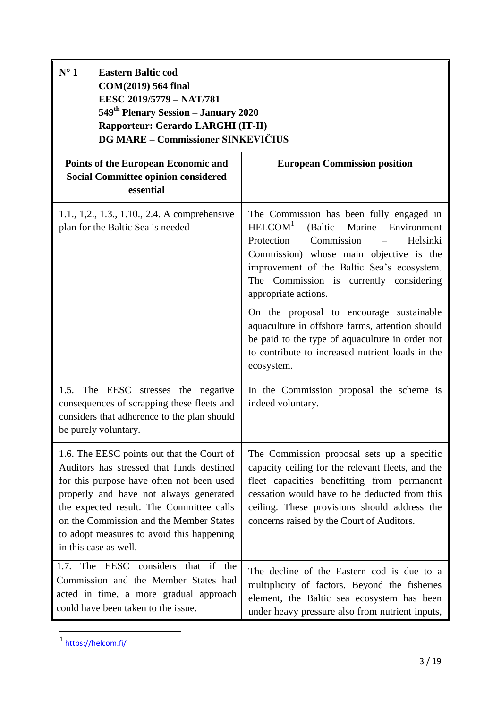<span id="page-2-0"></span>

| $N^{\circ}$ 1<br><b>Eastern Baltic cod</b><br>COM(2019) 564 final<br>EESC 2019/5779 - NAT/781<br>549 <sup>th</sup> Plenary Session – January 2020<br>Rapporteur: Gerardo LARGHI (IT-II)<br><b>DG MARE - Commissioner SINKEVIČIUS</b>                                                                                                        |                                                                                                                                                                                                                                                                                                                                                                                                                                                                                                                       |  |
|---------------------------------------------------------------------------------------------------------------------------------------------------------------------------------------------------------------------------------------------------------------------------------------------------------------------------------------------|-----------------------------------------------------------------------------------------------------------------------------------------------------------------------------------------------------------------------------------------------------------------------------------------------------------------------------------------------------------------------------------------------------------------------------------------------------------------------------------------------------------------------|--|
| <b>Points of the European Economic and</b><br><b>Social Committee opinion considered</b><br>essential                                                                                                                                                                                                                                       | <b>European Commission position</b>                                                                                                                                                                                                                                                                                                                                                                                                                                                                                   |  |
| 1.1., 1,2., 1.3., 1.10., 2.4. A comprehensive<br>plan for the Baltic Sea is needed                                                                                                                                                                                                                                                          | The Commission has been fully engaged in<br>HELCOM <sup>1</sup><br>(Baltic Marine Environment<br>Protection<br>Commission<br>Helsinki<br>Commission) whose main objective is the<br>improvement of the Baltic Sea's ecosystem.<br>The Commission is currently considering<br>appropriate actions.<br>On the proposal to encourage sustainable<br>aquaculture in offshore farms, attention should<br>be paid to the type of aquaculture in order not<br>to contribute to increased nutrient loads in the<br>ecosystem. |  |
| 1.5. The EESC stresses the negative<br>consequences of scrapping these fleets and<br>considers that adherence to the plan should<br>be purely voluntary.                                                                                                                                                                                    | In the Commission proposal the scheme is<br>indeed voluntary.                                                                                                                                                                                                                                                                                                                                                                                                                                                         |  |
| 1.6. The EESC points out that the Court of<br>Auditors has stressed that funds destined<br>for this purpose have often not been used<br>properly and have not always generated<br>the expected result. The Committee calls<br>on the Commission and the Member States<br>to adopt measures to avoid this happening<br>in this case as well. | The Commission proposal sets up a specific<br>capacity ceiling for the relevant fleets, and the<br>fleet capacities benefitting from permanent<br>cessation would have to be deducted from this<br>ceiling. These provisions should address the<br>concerns raised by the Court of Auditors.                                                                                                                                                                                                                          |  |
| 1.7. The EESC considers that if the<br>Commission and the Member States had<br>acted in time, a more gradual approach<br>could have been taken to the issue.                                                                                                                                                                                | The decline of the Eastern cod is due to a<br>multiplicity of factors. Beyond the fisheries<br>element, the Baltic sea ecosystem has been<br>under heavy pressure also from nutrient inputs,                                                                                                                                                                                                                                                                                                                          |  |

<sup>1</sup> <https://helcom.fi/>

1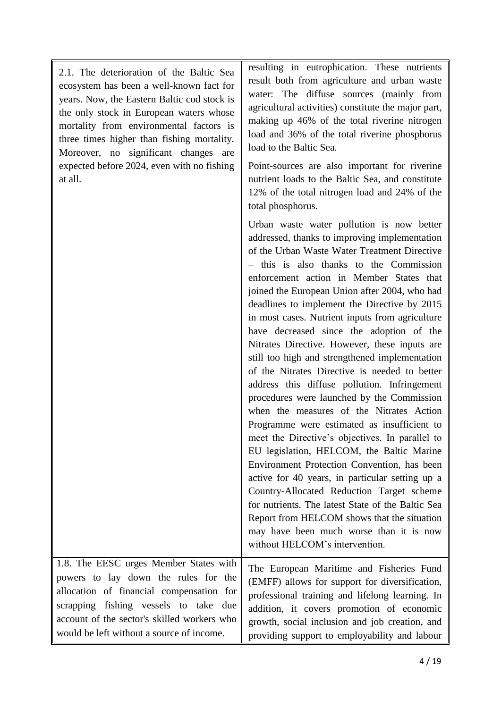2.1. The deterioration of the Baltic Sea ecosystem has been a well-known fact for years. Now, the Eastern Baltic cod stock is the only stock in European waters whose mortality from environmental factors is three times higher than fishing mortality. Moreover, no significant changes are expected before 2024, even with no fishing at all.

resulting in eutrophication. These nutrients result both from agriculture and urban waste water: The diffuse sources (mainly from agricultural activities) constitute the major part, making up 46% of the total riverine nitrogen load and 36% of the total riverine phosphorus load to the Baltic Sea.

Point-sources are also important for riverine nutrient loads to the Baltic Sea, and constitute 12% of the total nitrogen load and 24% of the total phosphorus.

Urban waste water pollution is now better addressed, thanks to improving implementation of the Urban Waste Water Treatment Directive – this is also thanks to the Commission enforcement action in Member States that joined the European Union after 2004, who had deadlines to implement the Directive by 2015 in most cases. Nutrient inputs from agriculture have decreased since the adoption of the Nitrates Directive. However, these inputs are still too high and strengthened implementation of the Nitrates Directive is needed to better address this diffuse pollution. Infringement procedures were launched by the Commission when the measures of the Nitrates Action Programme were estimated as insufficient to meet the Directive's objectives. In parallel to EU legislation, HELCOM, the Baltic Marine Environment Protection Convention, has been active for 40 years, in particular setting up a Country-Allocated Reduction Target scheme for nutrients. The latest State of the Baltic Sea Report from HELCOM shows that the situation may have been much worse than it is now without HELCOM's intervention. The European Maritime and Fisheries Fund (EMFF) allows for support for diversification,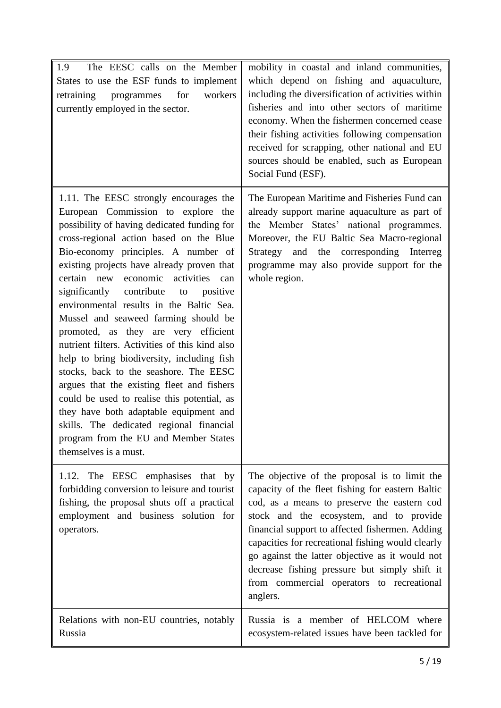| The EESC calls on the Member<br>1.9<br>States to use the ESF funds to implement<br>programmes<br>for<br>workers<br>retraining<br>currently employed in the sector.                                                                                                                                                                                                                                                                                                                                                                                                                                                                                                                                                                                                                                                                                                             | mobility in coastal and inland communities,<br>which depend on fishing and aquaculture,<br>including the diversification of activities within<br>fisheries and into other sectors of maritime<br>economy. When the fishermen concerned cease<br>their fishing activities following compensation<br>received for scrapping, other national and EU<br>sources should be enabled, such as European<br>Social Fund (ESF).                                            |
|--------------------------------------------------------------------------------------------------------------------------------------------------------------------------------------------------------------------------------------------------------------------------------------------------------------------------------------------------------------------------------------------------------------------------------------------------------------------------------------------------------------------------------------------------------------------------------------------------------------------------------------------------------------------------------------------------------------------------------------------------------------------------------------------------------------------------------------------------------------------------------|------------------------------------------------------------------------------------------------------------------------------------------------------------------------------------------------------------------------------------------------------------------------------------------------------------------------------------------------------------------------------------------------------------------------------------------------------------------|
| 1.11. The EESC strongly encourages the<br>European Commission to explore the<br>possibility of having dedicated funding for<br>cross-regional action based on the Blue<br>Bio-economy principles. A number of<br>existing projects have already proven that<br>certain new economic activities can<br>contribute<br>significantly<br>positive<br>to<br>environmental results in the Baltic Sea.<br>Mussel and seaweed farming should be<br>promoted, as they are very efficient<br>nutrient filters. Activities of this kind also<br>help to bring biodiversity, including fish<br>stocks, back to the seashore. The EESC<br>argues that the existing fleet and fishers<br>could be used to realise this potential, as<br>they have both adaptable equipment and<br>skills. The dedicated regional financial<br>program from the EU and Member States<br>themselves is a must. | The European Maritime and Fisheries Fund can<br>already support marine aquaculture as part of<br>the Member States' national programmes.<br>Moreover, the EU Baltic Sea Macro-regional<br>Strategy and the corresponding Interreg<br>programme may also provide support for the<br>whole region.                                                                                                                                                                 |
| The EESC emphasises that by<br>1.12.<br>forbidding conversion to leisure and tourist<br>fishing, the proposal shuts off a practical<br>employment and business solution for<br>operators.                                                                                                                                                                                                                                                                                                                                                                                                                                                                                                                                                                                                                                                                                      | The objective of the proposal is to limit the<br>capacity of the fleet fishing for eastern Baltic<br>cod, as a means to preserve the eastern cod<br>stock and the ecosystem, and to provide<br>financial support to affected fishermen. Adding<br>capacities for recreational fishing would clearly<br>go against the latter objective as it would not<br>decrease fishing pressure but simply shift it<br>from commercial operators to recreational<br>anglers. |
| Relations with non-EU countries, notably<br>Russia                                                                                                                                                                                                                                                                                                                                                                                                                                                                                                                                                                                                                                                                                                                                                                                                                             | Russia is a member of HELCOM where<br>ecosystem-related issues have been tackled for                                                                                                                                                                                                                                                                                                                                                                             |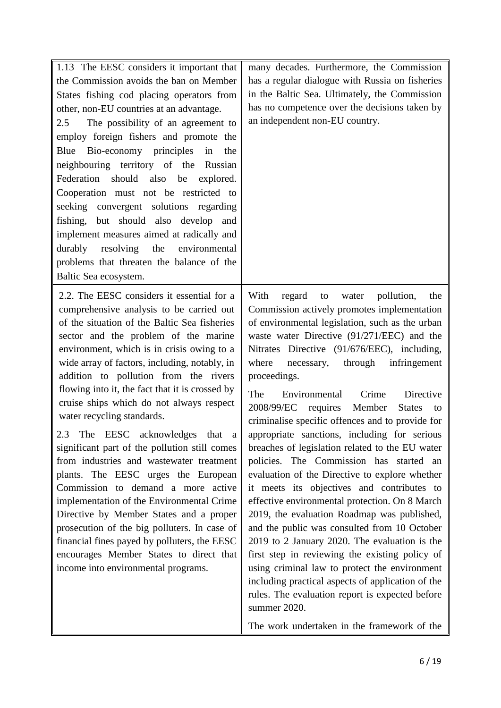| 1.13 The EESC considers it important that       | many decades. Furthermore, the Commission                                                            |
|-------------------------------------------------|------------------------------------------------------------------------------------------------------|
| the Commission avoids the ban on Member         | has a regular dialogue with Russia on fisheries                                                      |
| States fishing cod placing operators from       | in the Baltic Sea. Ultimately, the Commission                                                        |
| other, non-EU countries at an advantage.        | has no competence over the decisions taken by                                                        |
| The possibility of an agreement to<br>2.5       | an independent non-EU country.                                                                       |
| employ foreign fishers and promote the          |                                                                                                      |
| Blue<br>Bio-economy principles<br>in<br>the     |                                                                                                      |
| neighbouring territory of the<br>Russian        |                                                                                                      |
| Federation should also be<br>explored.          |                                                                                                      |
| Cooperation must not be restricted to           |                                                                                                      |
| seeking convergent solutions regarding          |                                                                                                      |
| fishing, but should also develop and            |                                                                                                      |
| implement measures aimed at radically and       |                                                                                                      |
| resolving the<br>durably<br>environmental       |                                                                                                      |
| problems that threaten the balance of the       |                                                                                                      |
| Baltic Sea ecosystem.                           |                                                                                                      |
| 2.2. The EESC considers it essential for a      | With<br>regard<br>pollution,<br>to<br>water<br>the                                                   |
| comprehensive analysis to be carried out        | Commission actively promotes implementation                                                          |
| of the situation of the Baltic Sea fisheries    | of environmental legislation, such as the urban                                                      |
| sector and the problem of the marine            | waste water Directive (91/271/EEC) and the                                                           |
| environment, which is in crisis owing to a      | Nitrates Directive (91/676/EEC), including,                                                          |
| wide array of factors, including, notably, in   | where<br>through<br>infringement<br>necessary,                                                       |
| addition to pollution from the rivers           | proceedings.                                                                                         |
| flowing into it, the fact that it is crossed by | The<br>Environmental<br>Crime<br>Directive                                                           |
| cruise ships which do not always respect        | 2008/99/EC requires<br>Member<br><b>States</b><br>to                                                 |
| water recycling standards.                      | criminalise specific offences and to provide for                                                     |
| 2.3 The EESC acknowledges that a                | appropriate sanctions, including for serious                                                         |
| significant part of the pollution still comes   | breaches of legislation related to the EU water                                                      |
| from industries and wastewater treatment        | policies. The Commission has started an                                                              |
| plants. The EESC urges the European             | evaluation of the Directive to explore whether                                                       |
| Commission to demand a more active              | it meets its objectives and contributes to                                                           |
| implementation of the Environmental Crime       | effective environmental protection. On 8 March                                                       |
| Directive by Member States and a proper         | 2019, the evaluation Roadmap was published,                                                          |
| prosecution of the big polluters. In case of    | and the public was consulted from 10 October                                                         |
| financial fines payed by polluters, the EESC    | 2019 to 2 January 2020. The evaluation is the                                                        |
| encourages Member States to direct that         | first step in reviewing the existing policy of                                                       |
| income into environmental programs.             | using criminal law to protect the environment                                                        |
|                                                 | including practical aspects of application of the<br>rules. The evaluation report is expected before |
|                                                 | summer 2020.                                                                                         |
|                                                 | The work undertaken in the framework of the                                                          |
|                                                 |                                                                                                      |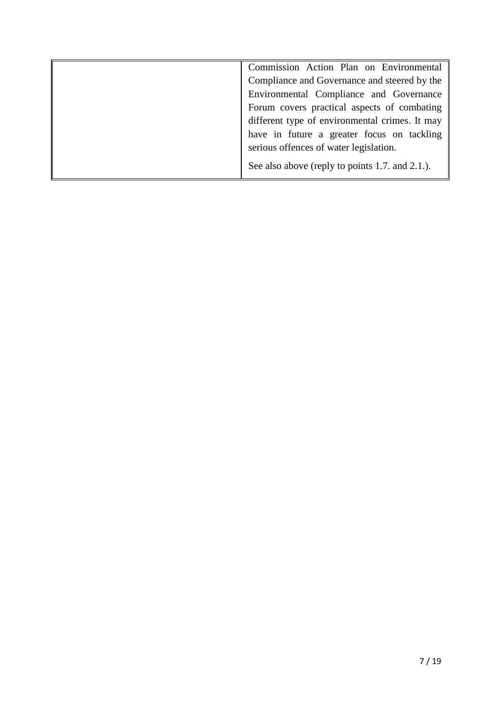| Commission Action Plan on Environmental         |
|-------------------------------------------------|
| Compliance and Governance and steered by the    |
| Environmental Compliance and Governance         |
| Forum covers practical aspects of combating     |
| different type of environmental crimes. It may  |
| have in future a greater focus on tackling      |
| serious offences of water legislation.          |
| See also above (reply to points 1.7. and 2.1.). |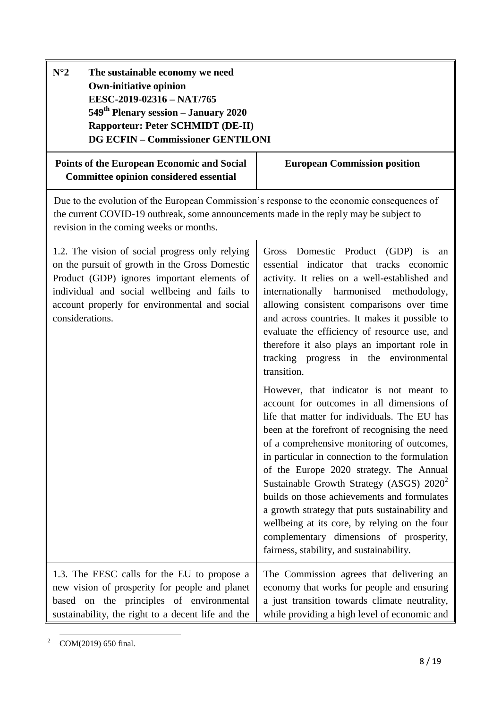| $N^{\circ}2$<br>The sustainable economy we need<br><b>Own-initiative opinion</b><br>EESC-2019-02316 - NAT/765<br>549 <sup>th</sup> Plenary session – January 2020<br><b>Rapporteur: Peter SCHMIDT (DE-II)</b><br><b>DG ECFIN - Commissioner GENTILONI</b>            |                                                                                                                                                                                                                                                                                                                                                                                                                                                                                                                                                                                                                                                                                                                                                                                                                                                                                                                                                                                                                                                                           |  |
|----------------------------------------------------------------------------------------------------------------------------------------------------------------------------------------------------------------------------------------------------------------------|---------------------------------------------------------------------------------------------------------------------------------------------------------------------------------------------------------------------------------------------------------------------------------------------------------------------------------------------------------------------------------------------------------------------------------------------------------------------------------------------------------------------------------------------------------------------------------------------------------------------------------------------------------------------------------------------------------------------------------------------------------------------------------------------------------------------------------------------------------------------------------------------------------------------------------------------------------------------------------------------------------------------------------------------------------------------------|--|
| <b>Points of the European Economic and Social</b><br><b>Committee opinion considered essential</b>                                                                                                                                                                   | <b>European Commission position</b>                                                                                                                                                                                                                                                                                                                                                                                                                                                                                                                                                                                                                                                                                                                                                                                                                                                                                                                                                                                                                                       |  |
| Due to the evolution of the European Commission's response to the economic consequences of<br>the current COVID-19 outbreak, some announcements made in the reply may be subject to<br>revision in the coming weeks or months.                                       |                                                                                                                                                                                                                                                                                                                                                                                                                                                                                                                                                                                                                                                                                                                                                                                                                                                                                                                                                                                                                                                                           |  |
| 1.2. The vision of social progress only relying<br>on the pursuit of growth in the Gross Domestic<br>Product (GDP) ignores important elements of<br>individual and social wellbeing and fails to<br>account properly for environmental and social<br>considerations. | Gross Domestic Product (GDP) is<br>an<br>essential indicator that tracks economic<br>activity. It relies on a well-established and<br>internationally harmonised methodology,<br>allowing consistent comparisons over time<br>and across countries. It makes it possible to<br>evaluate the efficiency of resource use, and<br>therefore it also plays an important role in<br>tracking progress in the environmental<br>transition.<br>However, that indicator is not meant to<br>account for outcomes in all dimensions of<br>life that matter for individuals. The EU has<br>been at the forefront of recognising the need<br>of a comprehensive monitoring of outcomes,<br>in particular in connection to the formulation<br>of the Europe 2020 strategy. The Annual<br>Sustainable Growth Strategy (ASGS) 2020 <sup>2</sup><br>builds on those achievements and formulates<br>a growth strategy that puts sustainability and<br>wellbeing at its core, by relying on the four<br>complementary dimensions of prosperity,<br>fairness, stability, and sustainability. |  |
| 1.3. The EESC calls for the EU to propose a<br>new vision of prosperity for people and planet<br>based on the principles of environmental<br>sustainability, the right to a decent life and the                                                                      | The Commission agrees that delivering an<br>economy that works for people and ensuring<br>a just transition towards climate neutrality,<br>while providing a high level of economic and                                                                                                                                                                                                                                                                                                                                                                                                                                                                                                                                                                                                                                                                                                                                                                                                                                                                                   |  |

**<sup>.</sup>** <sup>2</sup> COM(2019) 650 final.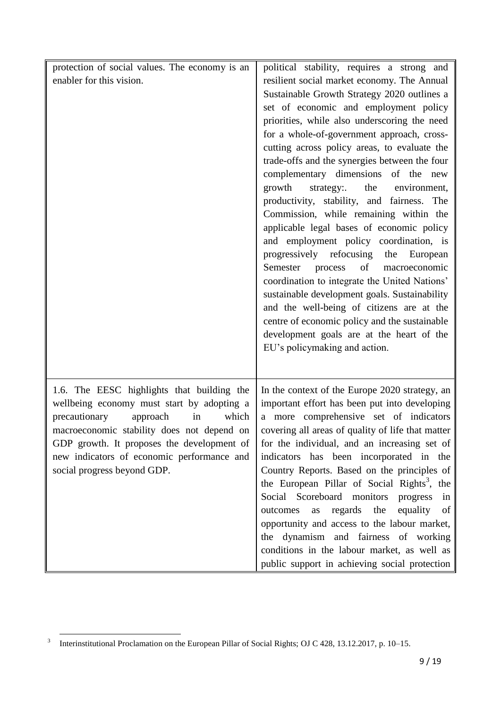| protection of social values. The economy is an<br>enabler for this vision.                                                                                                                                                                                                                                    | political stability, requires a strong and<br>resilient social market economy. The Annual<br>Sustainable Growth Strategy 2020 outlines a<br>set of economic and employment policy<br>priorities, while also underscoring the need<br>for a whole-of-government approach, cross-<br>cutting across policy areas, to evaluate the<br>trade-offs and the synergies between the four<br>complementary dimensions of the new<br>growth<br>strategy:<br>the<br>environment,<br>productivity, stability, and fairness.<br>The<br>Commission, while remaining within the<br>applicable legal bases of economic policy<br>and employment policy coordination, is<br>progressively refocusing<br>the European<br>of<br>Semester<br>process<br>macroeconomic<br>coordination to integrate the United Nations'<br>sustainable development goals. Sustainability<br>and the well-being of citizens are at the<br>centre of economic policy and the sustainable<br>development goals are at the heart of the<br>EU's policymaking and action. |
|---------------------------------------------------------------------------------------------------------------------------------------------------------------------------------------------------------------------------------------------------------------------------------------------------------------|---------------------------------------------------------------------------------------------------------------------------------------------------------------------------------------------------------------------------------------------------------------------------------------------------------------------------------------------------------------------------------------------------------------------------------------------------------------------------------------------------------------------------------------------------------------------------------------------------------------------------------------------------------------------------------------------------------------------------------------------------------------------------------------------------------------------------------------------------------------------------------------------------------------------------------------------------------------------------------------------------------------------------------|
| 1.6. The EESC highlights that building the<br>wellbeing economy must start by adopting a<br>precautionary<br>approach<br>in<br>which<br>macroeconomic stability does not depend on<br>GDP growth. It proposes the development of<br>new indicators of economic performance and<br>social progress beyond GDP. | In the context of the Europe 2020 strategy, an<br>important effort has been put into developing<br>a more comprehensive set of indicators<br>covering all areas of quality of life that matter<br>for the individual, and an increasing set of<br>indicators has been incorporated in the<br>Country Reports. Based on the principles of<br>the European Pillar of Social Rights <sup>3</sup> , the<br>Social Scoreboard monitors<br>progress<br>in<br>equality<br>the<br>regards<br>outcomes<br>of<br>as<br>opportunity and access to the labour market,<br>the dynamism and fairness of working<br>conditions in the labour market, as well as<br>public support in achieving social protection                                                                                                                                                                                                                                                                                                                               |

**<sup>.</sup>** 3 Interinstitutional Proclamation on the European Pillar of Social Rights; OJ C 428, 13.12.2017, p. 10–15.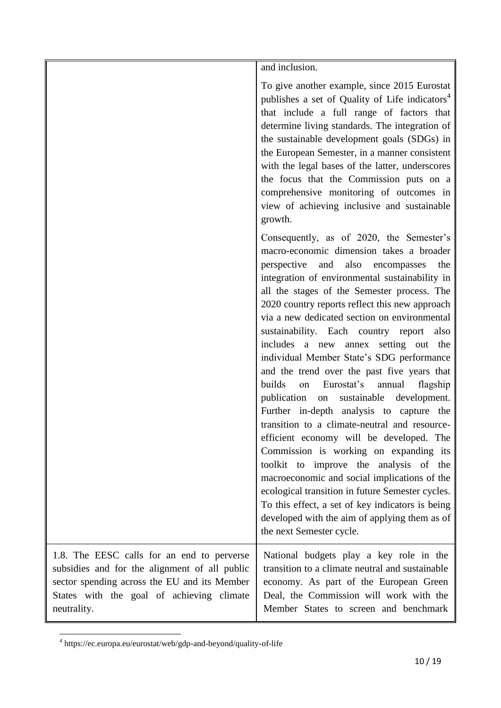and inclusion.

To give another example, since 2015 Eurostat publishes a set of Quality of Life indicators<sup>4</sup> that include a full range of factors that determine living standards. The integration of the sustainable development goals (SDGs) in the European Semester, in a manner consistent with the legal bases of the latter, underscores the focus that the Commission puts on a comprehensive monitoring of outcomes in view of achieving inclusive and sustainable growth.

Consequently, as of 2020, the Semester's macro-economic dimension takes a broader perspective and also encompasses the integration of environmental sustainability in all the stages of the Semester process. The 2020 country reports reflect this new approach via a new dedicated section on environmental sustainability. Each country report also includes a new annex setting out the individual Member State's SDG performance and the trend over the past five years that builds on Eurostat's annual flagship publication on sustainable development. Further in-depth analysis to capture the transition to a climate-neutral and resourceefficient economy will be developed. The Commission is working on expanding its toolkit to improve the analysis of the macroeconomic and social implications of the ecological transition in future Semester cycles. To this effect, a set of key indicators is being developed with the aim of applying them as of the next Semester cycle.

1.8. The EESC calls for an end to perverse subsidies and for the alignment of all public sector spending across the EU and its Member States with the goal of achieving climate neutrality. National budgets play a key role in the transition to a climate neutral and sustainable economy. As part of the European Green Deal, the Commission will work with the Member States to screen and benchmark

**<sup>.</sup>** 4 https://ec.europa.eu/eurostat/web/gdp-and-beyond/quality-of-life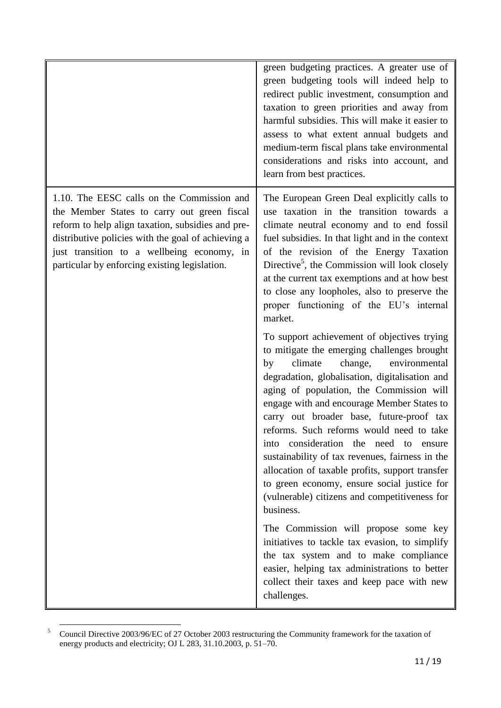| 1.10. The EESC calls on the Commission and<br>the Member States to carry out green fiscal<br>reform to help align taxation, subsidies and pre-<br>distributive policies with the goal of achieving a<br>just transition to a wellbeing economy, in<br>particular by enforcing existing legislation. | green budgeting practices. A greater use of<br>green budgeting tools will indeed help to<br>redirect public investment, consumption and<br>taxation to green priorities and away from<br>harmful subsidies. This will make it easier to<br>assess to what extent annual budgets and<br>medium-term fiscal plans take environmental<br>considerations and risks into account, and<br>learn from best practices.                                                                                                                                                                                                                                                                                                                                                                                                                                                                                                                                                                                                                                                                                                                                                                                                                                   |
|-----------------------------------------------------------------------------------------------------------------------------------------------------------------------------------------------------------------------------------------------------------------------------------------------------|--------------------------------------------------------------------------------------------------------------------------------------------------------------------------------------------------------------------------------------------------------------------------------------------------------------------------------------------------------------------------------------------------------------------------------------------------------------------------------------------------------------------------------------------------------------------------------------------------------------------------------------------------------------------------------------------------------------------------------------------------------------------------------------------------------------------------------------------------------------------------------------------------------------------------------------------------------------------------------------------------------------------------------------------------------------------------------------------------------------------------------------------------------------------------------------------------------------------------------------------------|
| market.<br>climate<br>change,<br>by<br>consideration the need to<br>into<br>business.<br>challenges.                                                                                                                                                                                                | The European Green Deal explicitly calls to<br>use taxation in the transition towards a<br>climate neutral economy and to end fossil<br>fuel subsidies. In that light and in the context<br>of the revision of the Energy Taxation<br>Directive <sup>5</sup> , the Commission will look closely<br>at the current tax exemptions and at how best<br>to close any loopholes, also to preserve the<br>proper functioning of the EU's internal<br>To support achievement of objectives trying<br>to mitigate the emerging challenges brought<br>environmental<br>degradation, globalisation, digitalisation and<br>aging of population, the Commission will<br>engage with and encourage Member States to<br>carry out broader base, future-proof tax<br>reforms. Such reforms would need to take<br>ensure<br>sustainability of tax revenues, fairness in the<br>allocation of taxable profits, support transfer<br>to green economy, ensure social justice for<br>(vulnerable) citizens and competitiveness for<br>The Commission will propose some key<br>initiatives to tackle tax evasion, to simplify<br>the tax system and to make compliance<br>easier, helping tax administrations to better<br>collect their taxes and keep pace with new |

<sup>1</sup> <sup>5</sup> Council Directive 2003/96/EC of 27 October 2003 restructuring the Community framework for the taxation of energy products and electricity; OJ L 283, 31.10.2003, p. 51–70.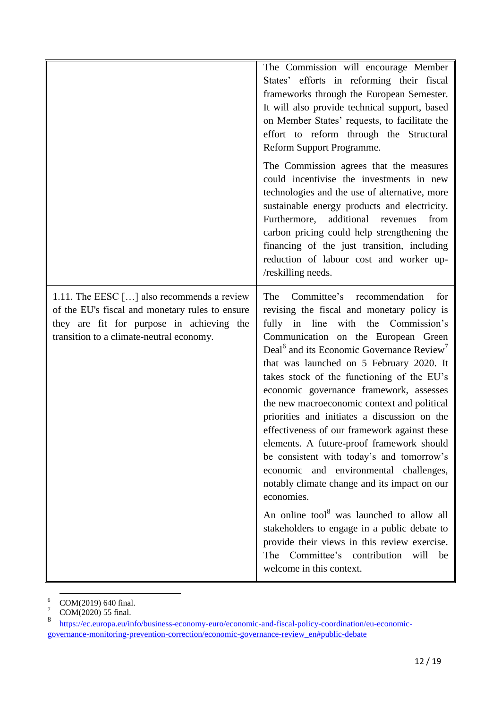|                                                                                                                                                                                          | The Commission will encourage Member<br>States' efforts in reforming their fiscal<br>frameworks through the European Semester.<br>It will also provide technical support, based<br>on Member States' requests, to facilitate the<br>effort to reform through the Structural<br>Reform Support Programme.<br>The Commission agrees that the measures<br>could incentivise the investments in new<br>technologies and the use of alternative, more<br>sustainable energy products and electricity.<br>additional revenues<br>Furthermore,<br>from<br>carbon pricing could help strengthening the<br>financing of the just transition, including<br>reduction of labour cost and worker up-<br>/reskilling needs.                                                                                                                                                                                                                                                                       |
|------------------------------------------------------------------------------------------------------------------------------------------------------------------------------------------|--------------------------------------------------------------------------------------------------------------------------------------------------------------------------------------------------------------------------------------------------------------------------------------------------------------------------------------------------------------------------------------------------------------------------------------------------------------------------------------------------------------------------------------------------------------------------------------------------------------------------------------------------------------------------------------------------------------------------------------------------------------------------------------------------------------------------------------------------------------------------------------------------------------------------------------------------------------------------------------|
| 1.11. The EESC $[]$ also recommends a review<br>of the EU's fiscal and monetary rules to ensure<br>they are fit for purpose in achieving the<br>transition to a climate-neutral economy. | Committee's recommendation<br>The<br>for<br>revising the fiscal and monetary policy is<br>in<br>line<br>with<br>fully<br>the<br>Commission's<br>Communication on the European Green<br>Deal <sup>6</sup> and its Economic Governance Review <sup>7</sup><br>that was launched on 5 February 2020. It<br>takes stock of the functioning of the EU's<br>economic governance framework, assesses<br>the new macroeconomic context and political<br>priorities and initiates a discussion on the<br>effectiveness of our framework against these<br>elements. A future-proof framework should<br>be consistent with today's and tomorrow's<br>economic and environmental challenges,<br>notably climate change and its impact on our<br>economies.<br>An online tool <sup>8</sup> was launched to allow all<br>stakeholders to engage in a public debate to<br>provide their views in this review exercise.<br>Committee's contribution<br>The<br>will<br>be<br>welcome in this context. |

**<sup>.</sup>**  $^{6}$  COM(2019) 640 final.

 $COM(2020)$  55 final.

<sup>8</sup> [https://ec.europa.eu/info/business-economy-euro/economic-and-fiscal-policy-coordination/eu-economic](https://ec.europa.eu/info/business-economy-euro/economic-and-fiscal-policy-coordination/eu-economic-governance-monitoring-prevention-correction/economic-governance-review_en#public-debate)[governance-monitoring-prevention-correction/economic-governance-review\\_en#public-debate](https://ec.europa.eu/info/business-economy-euro/economic-and-fiscal-policy-coordination/eu-economic-governance-monitoring-prevention-correction/economic-governance-review_en#public-debate)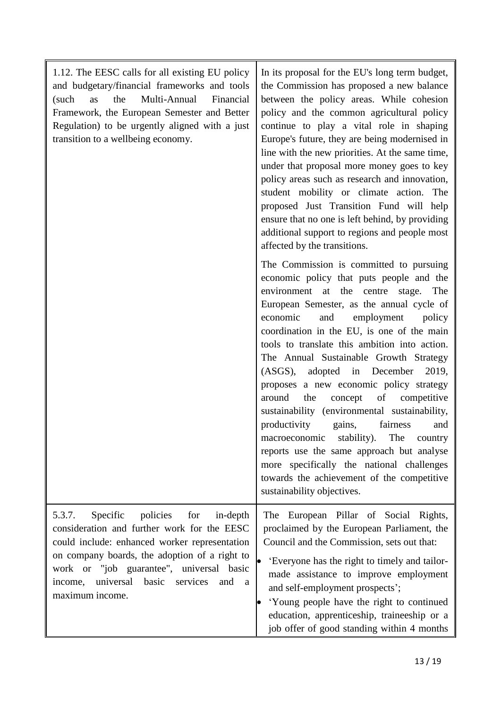| 1.12. The EESC calls for all existing EU policy<br>and budgetary/financial frameworks and tools<br>Multi-Annual<br>the<br>Financial<br>(such<br>as<br>Framework, the European Semester and Better<br>Regulation) to be urgently aligned with a just<br>transition to a wellbeing economy.                               | In its proposal for the EU's long term budget,<br>the Commission has proposed a new balance<br>between the policy areas. While cohesion<br>policy and the common agricultural policy<br>continue to play a vital role in shaping<br>Europe's future, they are being modernised in<br>line with the new priorities. At the same time,<br>under that proposal more money goes to key<br>policy areas such as research and innovation,<br>student mobility or climate action. The<br>proposed Just Transition Fund will help<br>ensure that no one is left behind, by providing<br>additional support to regions and people most<br>affected by the transitions.                                                                                                                                                 |
|-------------------------------------------------------------------------------------------------------------------------------------------------------------------------------------------------------------------------------------------------------------------------------------------------------------------------|---------------------------------------------------------------------------------------------------------------------------------------------------------------------------------------------------------------------------------------------------------------------------------------------------------------------------------------------------------------------------------------------------------------------------------------------------------------------------------------------------------------------------------------------------------------------------------------------------------------------------------------------------------------------------------------------------------------------------------------------------------------------------------------------------------------|
|                                                                                                                                                                                                                                                                                                                         | The Commission is committed to pursuing<br>economic policy that puts people and the<br>environment at the centre stage.<br>The<br>European Semester, as the annual cycle of<br>economic<br>employment<br>and<br>policy<br>coordination in the EU, is one of the main<br>tools to translate this ambition into action.<br>The Annual Sustainable Growth Strategy<br>(ASGS), adopted in December<br>2019,<br>proposes a new economic policy strategy<br>of competitive<br>around<br>the<br>concept<br>sustainability (environmental sustainability,<br>fairness<br>productivity<br>gains,<br>and<br>macroeconomic stability). The country<br>reports use the same approach but analyse<br>more specifically the national challenges<br>towards the achievement of the competitive<br>sustainability objectives. |
| Specific<br>policies<br>5.3.7.<br>for<br>in-depth<br>consideration and further work for the EESC<br>could include: enhanced worker representation<br>on company boards, the adoption of a right to<br>work or "job guarantee", universal basic<br>income, universal<br>basic<br>services<br>and<br>a<br>maximum income. | The European Pillar of Social Rights,<br>proclaimed by the European Parliament, the<br>Council and the Commission, sets out that:<br>'Everyone has the right to timely and tailor-<br>made assistance to improve employment<br>and self-employment prospects';<br>'Young people have the right to continued<br>education, apprenticeship, traineeship or a<br>job offer of good standing within 4 months                                                                                                                                                                                                                                                                                                                                                                                                      |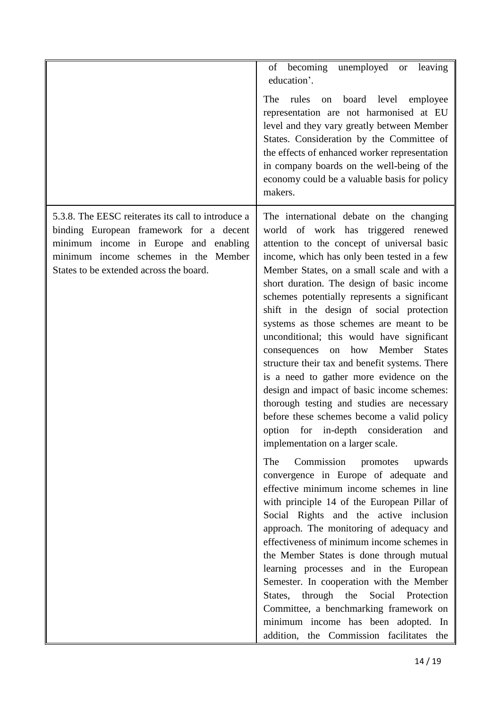|                                                                                                                                                                                                                           | of becoming<br>unemployed<br>leaving<br><b>or</b><br>education'.<br>rules<br>board<br>level<br>The<br>employee<br>on<br>representation are not harmonised at EU<br>level and they vary greatly between Member<br>States. Consideration by the Committee of<br>the effects of enhanced worker representation<br>in company boards on the well-being of the<br>economy could be a valuable basis for policy<br>makers.                                                                                                                                                                                                                                                                                                                                                                                                                                                                                                                                                                                                                                                                                                                                                                                                                                                                                                                                                                                                                                                               |
|---------------------------------------------------------------------------------------------------------------------------------------------------------------------------------------------------------------------------|------------------------------------------------------------------------------------------------------------------------------------------------------------------------------------------------------------------------------------------------------------------------------------------------------------------------------------------------------------------------------------------------------------------------------------------------------------------------------------------------------------------------------------------------------------------------------------------------------------------------------------------------------------------------------------------------------------------------------------------------------------------------------------------------------------------------------------------------------------------------------------------------------------------------------------------------------------------------------------------------------------------------------------------------------------------------------------------------------------------------------------------------------------------------------------------------------------------------------------------------------------------------------------------------------------------------------------------------------------------------------------------------------------------------------------------------------------------------------------|
| 5.3.8. The EESC reiterates its call to introduce a<br>binding European framework for a decent<br>minimum income in Europe and enabling<br>minimum income schemes in the Member<br>States to be extended across the board. | The international debate on the changing<br>world of work has triggered renewed<br>attention to the concept of universal basic<br>income, which has only been tested in a few<br>Member States, on a small scale and with a<br>short duration. The design of basic income<br>schemes potentially represents a significant<br>shift in the design of social protection<br>systems as those schemes are meant to be<br>unconditional; this would have significant<br>how<br>Member<br><b>States</b><br>consequences<br>on<br>structure their tax and benefit systems. There<br>is a need to gather more evidence on the<br>design and impact of basic income schemes:<br>thorough testing and studies are necessary<br>before these schemes become a valid policy<br>option for in-depth consideration<br>and<br>implementation on a larger scale.<br>Commission<br>The<br>promotes<br>upwards<br>convergence in Europe of adequate and<br>effective minimum income schemes in line<br>with principle 14 of the European Pillar of<br>Social Rights and the active inclusion<br>approach. The monitoring of adequacy and<br>effectiveness of minimum income schemes in<br>the Member States is done through mutual<br>learning processes and in the European<br>Semester. In cooperation with the Member<br>Social Protection<br>through the<br>States,<br>Committee, a benchmarking framework on<br>minimum income has been adopted. In<br>addition, the Commission facilitates the |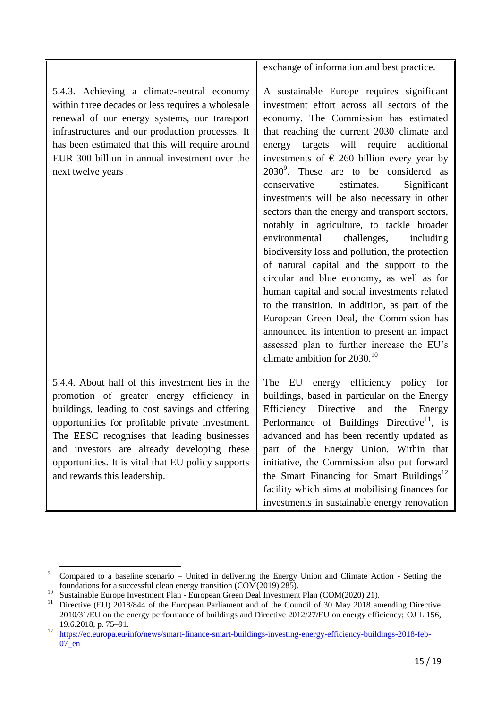|                                                                                                                                                                                                                                                                                                                                                                                         | exchange of information and best practice.                                                                                                                                                                                                                                                                                                                                                                                                                                                                                                                                                                                                                                                                                                                                                                                                                                                                                                                                                               |
|-----------------------------------------------------------------------------------------------------------------------------------------------------------------------------------------------------------------------------------------------------------------------------------------------------------------------------------------------------------------------------------------|----------------------------------------------------------------------------------------------------------------------------------------------------------------------------------------------------------------------------------------------------------------------------------------------------------------------------------------------------------------------------------------------------------------------------------------------------------------------------------------------------------------------------------------------------------------------------------------------------------------------------------------------------------------------------------------------------------------------------------------------------------------------------------------------------------------------------------------------------------------------------------------------------------------------------------------------------------------------------------------------------------|
| 5.4.3. Achieving a climate-neutral economy<br>within three decades or less requires a wholesale<br>renewal of our energy systems, our transport<br>infrastructures and our production processes. It<br>has been estimated that this will require around<br>EUR 300 billion in annual investment over the<br>next twelve years.                                                          | A sustainable Europe requires significant<br>investment effort across all sectors of the<br>economy. The Commission has estimated<br>that reaching the current 2030 climate and<br>energy targets will require additional<br>investments of $\epsilon$ 260 billion every year by<br>$2030^9$ . These are to be considered as<br>conservative<br>estimates.<br>Significant<br>investments will be also necessary in other<br>sectors than the energy and transport sectors,<br>notably in agriculture, to tackle broader<br>environmental challenges,<br>including<br>biodiversity loss and pollution, the protection<br>of natural capital and the support to the<br>circular and blue economy, as well as for<br>human capital and social investments related<br>to the transition. In addition, as part of the<br>European Green Deal, the Commission has<br>announced its intention to present an impact<br>assessed plan to further increase the EU's<br>climate ambition for $2030$ . <sup>10</sup> |
| 5.4.4. About half of this investment lies in the<br>promotion of greater energy efficiency in<br>buildings, leading to cost savings and offering<br>opportunities for profitable private investment.<br>The EESC recognises that leading businesses<br>and investors are already developing these<br>opportunities. It is vital that EU policy supports<br>and rewards this leadership. | energy efficiency policy for<br>The EU<br>buildings, based in particular on the Energy<br>Efficiency Directive<br>and<br>the Energy<br>Performance of Buildings Directive <sup>11</sup> , is<br>advanced and has been recently updated as<br>part of the Energy Union. Within that<br>initiative, the Commission also put forward<br>the Smart Financing for Smart Buildings <sup>12</sup><br>facility which aims at mobilising finances for<br>investments in sustainable energy renovation                                                                                                                                                                                                                                                                                                                                                                                                                                                                                                             |

**<sup>.</sup>** <sup>9</sup> Compared to a baseline scenario – United in delivering the Energy Union and Climate Action - Setting the foundations for a successful clean energy transition (COM(2019) 285).

<sup>&</sup>lt;sup>10</sup> Sustainable Europe Investment Plan - European Green Deal Investment Plan (COM(2020) 21).<br><sup>11</sup> Directive (EU) 2018/844 of the European Parliament and of the Council of 30 May 2018 an

Directive (EU) 2018/844 of the European Parliament and of the Council of 30 May 2018 amending Directive 2010/31/EU on the energy performance of buildings and Directive 2012/27/EU on energy efficiency; OJ L 156, 19.6.2018, p. 75–91.

<sup>12</sup> [https://ec.europa.eu/info/news/smart-finance-smart-buildings-investing-energy-efficiency-buildings-2018-feb-](https://ec.europa.eu/info/news/smart-finance-smart-buildings-investing-energy-efficiency-buildings-2018-feb-07_en) $07$  en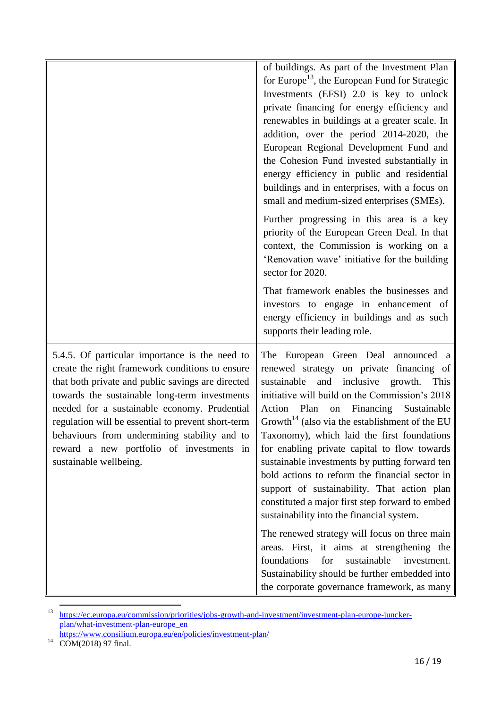|                                                                                                                                                                                                                                                                                                                                                                                                                                     | of buildings. As part of the Investment Plan<br>for Europe <sup>13</sup> , the European Fund for Strategic<br>Investments (EFSI) 2.0 is key to unlock<br>private financing for energy efficiency and<br>renewables in buildings at a greater scale. In<br>addition, over the period 2014-2020, the<br>European Regional Development Fund and<br>the Cohesion Fund invested substantially in<br>energy efficiency in public and residential<br>buildings and in enterprises, with a focus on<br>small and medium-sized enterprises (SMEs).                                                                                                                |
|-------------------------------------------------------------------------------------------------------------------------------------------------------------------------------------------------------------------------------------------------------------------------------------------------------------------------------------------------------------------------------------------------------------------------------------|----------------------------------------------------------------------------------------------------------------------------------------------------------------------------------------------------------------------------------------------------------------------------------------------------------------------------------------------------------------------------------------------------------------------------------------------------------------------------------------------------------------------------------------------------------------------------------------------------------------------------------------------------------|
|                                                                                                                                                                                                                                                                                                                                                                                                                                     | Further progressing in this area is a key<br>priority of the European Green Deal. In that<br>context, the Commission is working on a<br>'Renovation wave' initiative for the building<br>sector for 2020.                                                                                                                                                                                                                                                                                                                                                                                                                                                |
|                                                                                                                                                                                                                                                                                                                                                                                                                                     | That framework enables the businesses and<br>investors to engage in enhancement of<br>energy efficiency in buildings and as such<br>supports their leading role.                                                                                                                                                                                                                                                                                                                                                                                                                                                                                         |
| 5.4.5. Of particular importance is the need to<br>create the right framework conditions to ensure<br>that both private and public savings are directed<br>towards the sustainable long-term investments<br>needed for a sustainable economy. Prudential<br>regulation will be essential to prevent short-term<br>behaviours from undermining stability and to<br>reward a new portfolio of investments in<br>sustainable wellbeing. | The European Green Deal announced a<br>renewed strategy on private financing of<br>and<br>inclusive<br>sustainable<br>growth.<br>This<br>initiative will build on the Commission's 2018<br>Financing<br>Action Plan<br>Sustainable<br>on<br>Growth <sup>14</sup> (also via the establishment of the EU<br>Taxonomy), which laid the first foundations<br>for enabling private capital to flow towards<br>sustainable investments by putting forward ten<br>bold actions to reform the financial sector in<br>support of sustainability. That action plan<br>constituted a major first step forward to embed<br>sustainability into the financial system. |
|                                                                                                                                                                                                                                                                                                                                                                                                                                     | The renewed strategy will focus on three main<br>areas. First, it aims at strengthening the<br>foundations<br>for<br>sustainable<br>investment.<br>Sustainability should be further embedded into<br>the corporate governance framework, as many                                                                                                                                                                                                                                                                                                                                                                                                         |

<sup>&</sup>lt;sup>13</sup> [https://ec.europa.eu/commission/priorities/jobs-growth-and-investment/investment-plan-europe-juncker](https://ec.europa.eu/commission/priorities/jobs-growth-and-investment/investment-plan-europe-juncker-plan/what-investment-plan-europe_en)[plan/what-investment-plan-europe\\_en](https://ec.europa.eu/commission/priorities/jobs-growth-and-investment/investment-plan-europe-juncker-plan/what-investment-plan-europe_en)

**.** 

<https://www.consilium.europa.eu/en/policies/investment-plan/>

 $14 \overline{COM(2018) 97}$  final.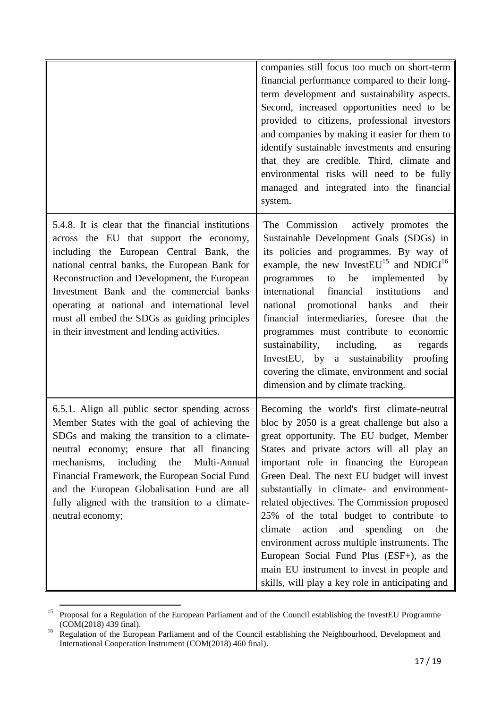|                                                                                                                                                                                                                                                                                                                                                                                                                                         | companies still focus too much on short-term<br>financial performance compared to their long-<br>term development and sustainability aspects.<br>Second, increased opportunities need to be<br>provided to citizens, professional investors<br>and companies by making it easier for them to<br>identify sustainable investments and ensuring<br>that they are credible. Third, climate and<br>environmental risks will need to be fully<br>managed and integrated into the financial<br>system.                                                                                                                                                                           |
|-----------------------------------------------------------------------------------------------------------------------------------------------------------------------------------------------------------------------------------------------------------------------------------------------------------------------------------------------------------------------------------------------------------------------------------------|----------------------------------------------------------------------------------------------------------------------------------------------------------------------------------------------------------------------------------------------------------------------------------------------------------------------------------------------------------------------------------------------------------------------------------------------------------------------------------------------------------------------------------------------------------------------------------------------------------------------------------------------------------------------------|
| 5.4.8. It is clear that the financial institutions<br>across the EU that support the economy,<br>including the European Central Bank, the<br>national central banks, the European Bank for<br>Reconstruction and Development, the European<br>Investment Bank and the commercial banks<br>operating at national and international level<br>must all embed the SDGs as guiding principles<br>in their investment and lending activities. | The Commission<br>actively promotes the<br>Sustainable Development Goals (SDGs) in<br>its policies and programmes. By way of<br>example, the new InvestEU <sup>15</sup> and NDICI <sup>16</sup><br>to be<br>implemented<br>programmes<br>by<br>international<br>financial<br>institutions<br>and<br>national promotional banks<br>and<br>their<br>financial intermediaries, foresee that the<br>programmes must contribute to economic<br>sustainability,<br>including,<br>regards<br>as<br>InvestEU, by a sustainability proofing<br>covering the climate, environment and social<br>dimension and by climate tracking.                                                   |
| 6.5.1. Align all public sector spending across<br>Member States with the goal of achieving the<br>SDGs and making the transition to a climate-<br>neutral economy; ensure that all financing<br>including<br>mechanisms,<br>the<br>Multi-Annual<br>Financial Framework, the European Social Fund<br>and the European Globalisation Fund are all<br>fully aligned with the transition to a climate-<br>neutral economy;                  | Becoming the world's first climate-neutral<br>bloc by 2050 is a great challenge but also a<br>great opportunity. The EU budget, Member<br>States and private actors will all play an<br>important role in financing the European<br>Green Deal. The next EU budget will invest<br>substantially in climate- and environment-<br>related objectives. The Commission proposed<br>25% of the total budget to contribute to<br>action<br>spending<br>climate<br>and<br>the<br>on<br>environment across multiple instruments. The<br>European Social Fund Plus (ESF+), as the<br>main EU instrument to invest in people and<br>skills, will play a key role in anticipating and |

**<sup>.</sup>** <sup>15</sup> Proposal for a Regulation of the European Parliament and of the Council establishing the InvestEU Programme (COM(2018) 439 final).

<sup>&</sup>lt;sup>16</sup> Regulation of the European Parliament and of the Council establishing the Neighbourhood, Development and International Cooperation Instrument (COM(2018) 460 final).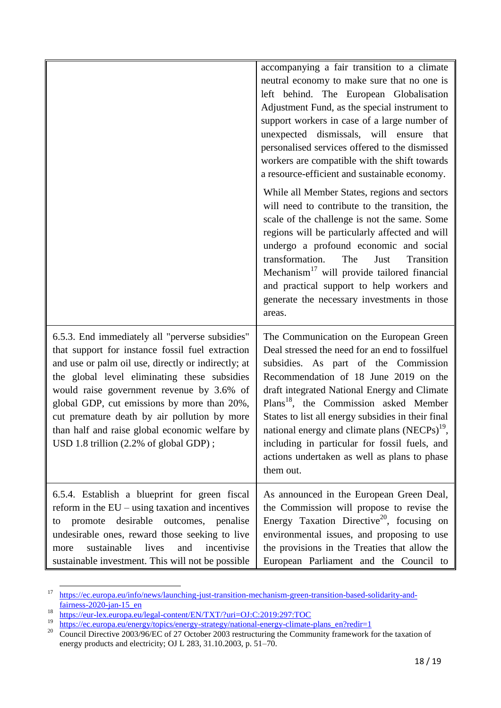|                                                                                                                                                                                                                                                                                                                                                                                                                                                                | accompanying a fair transition to a climate<br>neutral economy to make sure that no one is<br>left behind. The European Globalisation<br>Adjustment Fund, as the special instrument to<br>support workers in case of a large number of<br>unexpected dismissals, will ensure that<br>personalised services offered to the dismissed<br>workers are compatible with the shift towards<br>a resource-efficient and sustainable economy.<br>While all Member States, regions and sectors<br>will need to contribute to the transition, the<br>scale of the challenge is not the same. Some<br>regions will be particularly affected and will<br>undergo a profound economic and social<br>transformation.<br>The<br>Just<br>Transition<br>Mechanism <sup>17</sup> will provide tailored financial<br>and practical support to help workers and<br>generate the necessary investments in those<br>areas. |
|----------------------------------------------------------------------------------------------------------------------------------------------------------------------------------------------------------------------------------------------------------------------------------------------------------------------------------------------------------------------------------------------------------------------------------------------------------------|------------------------------------------------------------------------------------------------------------------------------------------------------------------------------------------------------------------------------------------------------------------------------------------------------------------------------------------------------------------------------------------------------------------------------------------------------------------------------------------------------------------------------------------------------------------------------------------------------------------------------------------------------------------------------------------------------------------------------------------------------------------------------------------------------------------------------------------------------------------------------------------------------|
| 6.5.3. End immediately all "perverse subsidies"<br>that support for instance fossil fuel extraction<br>and use or palm oil use, directly or indirectly; at<br>the global level eliminating these subsidies<br>would raise government revenue by 3.6% of<br>global GDP, cut emissions by more than 20%,<br>cut premature death by air pollution by more<br>than half and raise global economic welfare by<br>USD 1.8 trillion $(2.2\% \text{ of global GDP})$ ; | The Communication on the European Green<br>Deal stressed the need for an end to fossilfuel<br>subsidies. As part of the Commission<br>Recommendation of 18 June 2019 on the<br>draft integrated National Energy and Climate<br>Plans <sup>18</sup> , the Commission asked Member<br>States to list all energy subsidies in their final<br>national energy and climate plans (NECPs) <sup>19</sup> ,<br>including in particular for fossil fuels, and<br>actions undertaken as well as plans to phase<br>them out.                                                                                                                                                                                                                                                                                                                                                                                    |
| 6.5.4. Establish a blueprint for green fiscal<br>reform in the $EU$ – using taxation and incentives<br>desirable<br>outcomes, penalise<br>promote<br>to<br>undesirable ones, reward those seeking to live<br>sustainable<br>lives<br>incentivise<br>and<br>more<br>sustainable investment. This will not be possible                                                                                                                                           | As announced in the European Green Deal,<br>the Commission will propose to revise the<br>Energy Taxation Directive <sup>20</sup> , focusing on<br>environmental issues, and proposing to use<br>the provisions in the Treaties that allow the<br>European Parliament and the Council to                                                                                                                                                                                                                                                                                                                                                                                                                                                                                                                                                                                                              |

<sup>&</sup>lt;sup>17</sup> [https://ec.europa.eu/info/news/launching-just-transition-mechanism-green-transition-based-solidarity-and](https://ec.europa.eu/info/news/launching-just-transition-mechanism-green-transition-based-solidarity-and-fairness-2020-jan-15_en)fairness-2020-jan-15 en

 $\overline{\phantom{a}}$ 

<sup>18</sup> <https://eur-lex.europa.eu/legal-content/EN/TXT/?uri=OJ:C:2019:297:TOC>

<sup>&</sup>lt;sup>19</sup> [https://ec.europa.eu/energy/topics/energy-strategy/national-energy-climate-plans\\_en?redir=1](https://ec.europa.eu/energy/topics/energy-strategy/national-energy-climate-plans_en?redir=1)

<sup>&</sup>lt;sup>20</sup> Council Directive 2003/96/EC of 27 October 2003 restructuring the Community framework for the taxation of energy products and electricity; OJ L 283, 31.10.2003, p. 51–70.